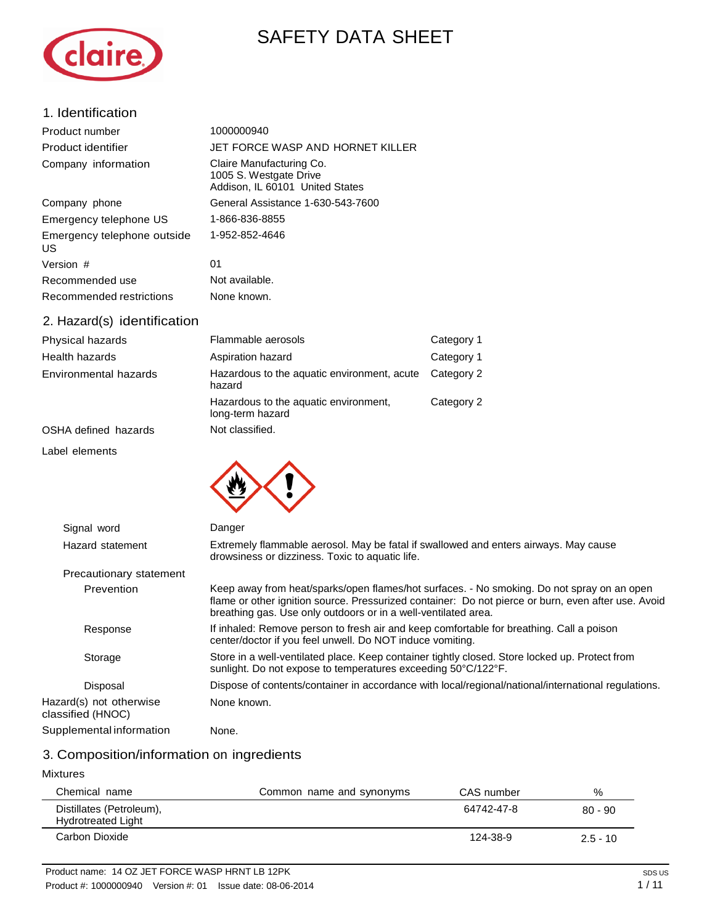# SAFETY DATA SHEET



| 1. Identification                  |                                                                                       |
|------------------------------------|---------------------------------------------------------------------------------------|
| Product number                     | 1000000940                                                                            |
| Product identifier                 | JET FORCE WASP AND HORNET KILLER                                                      |
| Company information                | Claire Manufacturing Co.<br>1005 S. Westgate Drive<br>Addison, IL 60101 United States |
| Company phone                      | General Assistance 1-630-543-7600                                                     |
| Emergency telephone US             | 1-866-836-8855                                                                        |
| Emergency telephone outside<br>US. | 1-952-852-4646                                                                        |
| Version #                          | 01                                                                                    |
| Recommended use                    | Not available.                                                                        |
| Recommended restrictions           | None known.                                                                           |
| 2. Hazard(s) identification        |                                                                                       |

| Physical hazards      | Flammable aerosols                                        | Category 1 |
|-----------------------|-----------------------------------------------------------|------------|
| Health hazards        | Aspiration hazard                                         | Category 1 |
| Environmental hazards | Hazardous to the aquatic environment, acute<br>hazard     | Category 2 |
|                       | Hazardous to the aquatic environment,<br>long-term hazard | Category 2 |
| OSHA defined hazards  | Not classified.                                           |            |

OSHA defined hazards

Label elements



| Signal word                                  | Danger                                                                                                                                                                                                                                                              |
|----------------------------------------------|---------------------------------------------------------------------------------------------------------------------------------------------------------------------------------------------------------------------------------------------------------------------|
| Hazard statement                             | Extremely flammable aerosol. May be fatal if swallowed and enters airways. May cause<br>drowsiness or dizziness. Toxic to aquatic life.                                                                                                                             |
| Precautionary statement                      |                                                                                                                                                                                                                                                                     |
| Prevention                                   | Keep away from heat/sparks/open flames/hot surfaces. - No smoking. Do not spray on an open<br>flame or other ignition source. Pressurized container: Do not pierce or burn, even after use. Avoid<br>breathing gas. Use only outdoors or in a well-ventilated area. |
| Response                                     | If inhaled: Remove person to fresh air and keep comfortable for breathing. Call a poison<br>center/doctor if you feel unwell. Do NOT induce vomiting.                                                                                                               |
| Storage                                      | Store in a well-ventilated place. Keep container tightly closed. Store locked up. Protect from<br>sunlight. Do not expose to temperatures exceeding 50°C/122°F.                                                                                                     |
| Disposal                                     | Dispose of contents/container in accordance with local/regional/national/international regulations.                                                                                                                                                                 |
| Hazard(s) not otherwise<br>classified (HNOC) | None known.                                                                                                                                                                                                                                                         |
| Supplemental information                     | None.                                                                                                                                                                                                                                                               |
|                                              |                                                                                                                                                                                                                                                                     |

## 3. Composition/information on ingredients

#### Mixtures

| Chemical name                                         | Common name and synonyms | CAS number | %          |
|-------------------------------------------------------|--------------------------|------------|------------|
| Distillates (Petroleum),<br><b>Hydrotreated Light</b> |                          | 64742-47-8 | $80 - 90$  |
| Carbon Dioxide                                        |                          | 124-38-9   | $2.5 - 10$ |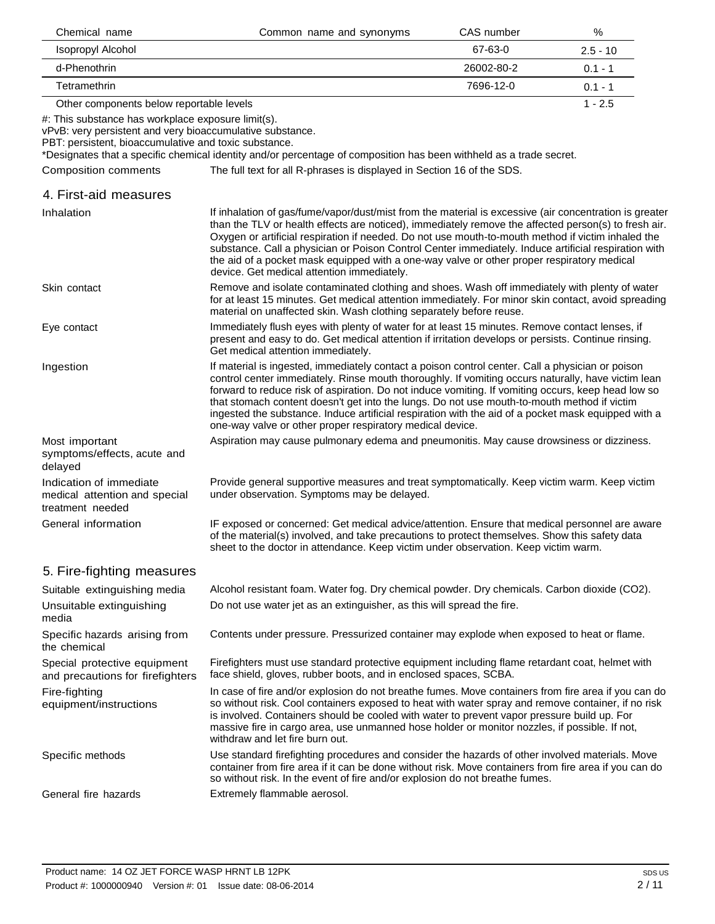| Chemical name                                                                                                                                                            | Common name and synonyms                                                                                                                                                                                                                                                                                                                                                                                                                                                                                                                                                        | CAS number | %          |
|--------------------------------------------------------------------------------------------------------------------------------------------------------------------------|---------------------------------------------------------------------------------------------------------------------------------------------------------------------------------------------------------------------------------------------------------------------------------------------------------------------------------------------------------------------------------------------------------------------------------------------------------------------------------------------------------------------------------------------------------------------------------|------------|------------|
| Isopropyl Alcohol                                                                                                                                                        |                                                                                                                                                                                                                                                                                                                                                                                                                                                                                                                                                                                 | 67-63-0    | $2.5 - 10$ |
| d-Phenothrin                                                                                                                                                             |                                                                                                                                                                                                                                                                                                                                                                                                                                                                                                                                                                                 | 26002-80-2 | $0.1 - 1$  |
| Tetramethrin                                                                                                                                                             |                                                                                                                                                                                                                                                                                                                                                                                                                                                                                                                                                                                 | 7696-12-0  | $0.1 - 1$  |
| Other components below reportable levels                                                                                                                                 |                                                                                                                                                                                                                                                                                                                                                                                                                                                                                                                                                                                 |            | $1 - 2.5$  |
| #: This substance has workplace exposure limit(s).<br>vPvB: very persistent and very bioaccumulative substance.<br>PBT: persistent, bioaccumulative and toxic substance. | *Designates that a specific chemical identity and/or percentage of composition has been withheld as a trade secret.                                                                                                                                                                                                                                                                                                                                                                                                                                                             |            |            |
| <b>Composition comments</b>                                                                                                                                              | The full text for all R-phrases is displayed in Section 16 of the SDS.                                                                                                                                                                                                                                                                                                                                                                                                                                                                                                          |            |            |
| 4. First-aid measures                                                                                                                                                    |                                                                                                                                                                                                                                                                                                                                                                                                                                                                                                                                                                                 |            |            |
| Inhalation                                                                                                                                                               | If inhalation of gas/fume/vapor/dust/mist from the material is excessive (air concentration is greater<br>than the TLV or health effects are noticed), immediately remove the affected person(s) to fresh air.<br>Oxygen or artificial respiration if needed. Do not use mouth-to-mouth method if victim inhaled the<br>substance. Call a physician or Poison Control Center immediately. Induce artificial respiration with<br>the aid of a pocket mask equipped with a one-way valve or other proper respiratory medical<br>device. Get medical attention immediately.        |            |            |
| Skin contact                                                                                                                                                             | Remove and isolate contaminated clothing and shoes. Wash off immediately with plenty of water<br>for at least 15 minutes. Get medical attention immediately. For minor skin contact, avoid spreading<br>material on unaffected skin. Wash clothing separately before reuse.                                                                                                                                                                                                                                                                                                     |            |            |
| Eye contact                                                                                                                                                              | Immediately flush eyes with plenty of water for at least 15 minutes. Remove contact lenses, if<br>present and easy to do. Get medical attention if irritation develops or persists. Continue rinsing.<br>Get medical attention immediately.                                                                                                                                                                                                                                                                                                                                     |            |            |
| Ingestion                                                                                                                                                                | If material is ingested, immediately contact a poison control center. Call a physician or poison<br>control center immediately. Rinse mouth thoroughly. If vomiting occurs naturally, have victim lean<br>forward to reduce risk of aspiration. Do not induce vomiting. If vomiting occurs, keep head low so<br>that stomach content doesn't get into the lungs. Do not use mouth-to-mouth method if victim<br>ingested the substance. Induce artificial respiration with the aid of a pocket mask equipped with a<br>one-way valve or other proper respiratory medical device. |            |            |
| Most important<br>symptoms/effects, acute and<br>delayed                                                                                                                 | Aspiration may cause pulmonary edema and pneumonitis. May cause drowsiness or dizziness.                                                                                                                                                                                                                                                                                                                                                                                                                                                                                        |            |            |
| Indication of immediate<br>medical attention and special<br>treatment needed                                                                                             | Provide general supportive measures and treat symptomatically. Keep victim warm. Keep victim<br>under observation. Symptoms may be delayed.                                                                                                                                                                                                                                                                                                                                                                                                                                     |            |            |
| General information                                                                                                                                                      | IF exposed or concerned: Get medical advice/attention. Ensure that medical personnel are aware<br>of the material(s) involved, and take precautions to protect themselves. Show this safety data<br>sheet to the doctor in attendance. Keep victim under observation. Keep victim warm.                                                                                                                                                                                                                                                                                         |            |            |
| 5. Fire-fighting measures                                                                                                                                                |                                                                                                                                                                                                                                                                                                                                                                                                                                                                                                                                                                                 |            |            |
| Suitable extinguishing media                                                                                                                                             | Alcohol resistant foam. Water fog. Dry chemical powder. Dry chemicals. Carbon dioxide (CO2).                                                                                                                                                                                                                                                                                                                                                                                                                                                                                    |            |            |
| Unsuitable extinguishing<br>media                                                                                                                                        | Do not use water jet as an extinguisher, as this will spread the fire.                                                                                                                                                                                                                                                                                                                                                                                                                                                                                                          |            |            |
| Specific hazards arising from<br>the chemical                                                                                                                            | Contents under pressure. Pressurized container may explode when exposed to heat or flame.                                                                                                                                                                                                                                                                                                                                                                                                                                                                                       |            |            |
| Special protective equipment<br>and precautions for firefighters                                                                                                         | Firefighters must use standard protective equipment including flame retardant coat, helmet with<br>face shield, gloves, rubber boots, and in enclosed spaces, SCBA.                                                                                                                                                                                                                                                                                                                                                                                                             |            |            |
| Fire-fighting<br>equipment/instructions                                                                                                                                  | In case of fire and/or explosion do not breathe fumes. Move containers from fire area if you can do<br>so without risk. Cool containers exposed to heat with water spray and remove container, if no risk<br>is involved. Containers should be cooled with water to prevent vapor pressure build up. For<br>massive fire in cargo area, use unmanned hose holder or monitor nozzles, if possible. If not,<br>withdraw and let fire burn out.                                                                                                                                    |            |            |
| Specific methods                                                                                                                                                         | Use standard firefighting procedures and consider the hazards of other involved materials. Move<br>container from fire area if it can be done without risk. Move containers from fire area if you can do<br>so without risk. In the event of fire and/or explosion do not breathe fumes.                                                                                                                                                                                                                                                                                        |            |            |
| General fire hazards                                                                                                                                                     | Extremely flammable aerosol.                                                                                                                                                                                                                                                                                                                                                                                                                                                                                                                                                    |            |            |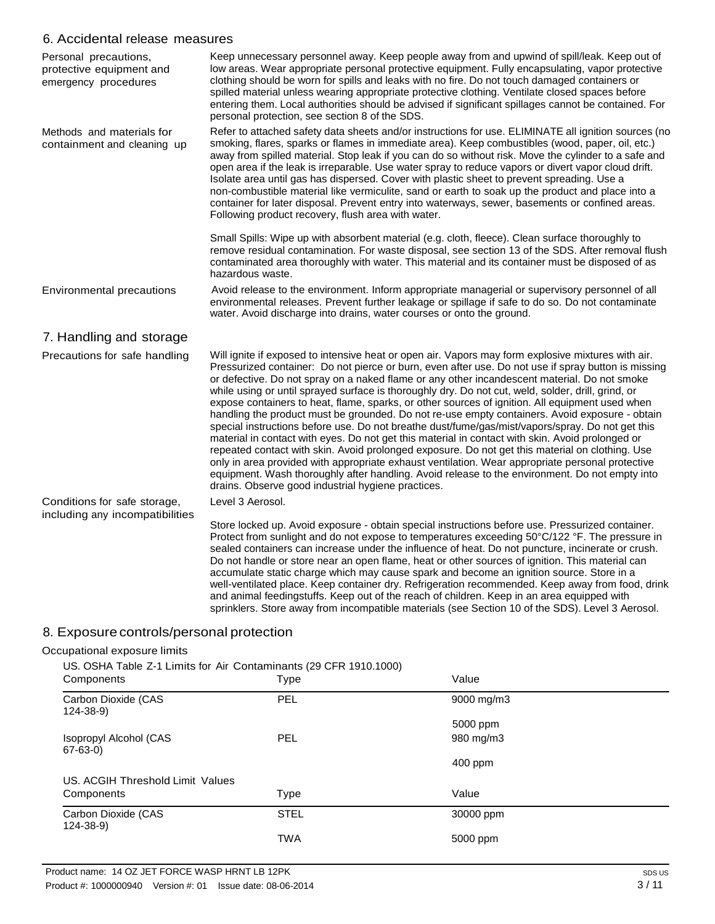#### 6. Accidental release measures

| Personal precautions,<br>protective equipment and<br>emergency procedures | Keep unnecessary personnel away. Keep people away from and upwind of spill/leak. Keep out of<br>low areas. Wear appropriate personal protective equipment. Fully encapsulating, vapor protective<br>clothing should be worn for spills and leaks with no fire. Do not touch damaged containers or<br>spilled material unless wearing appropriate protective clothing. Ventilate closed spaces before<br>entering them. Local authorities should be advised if significant spillages cannot be contained. For<br>personal protection, see section 8 of the SDS.                                                                                                                                                                                                                                                                                                                                                                                                                                                                                                                                                                                                                              |
|---------------------------------------------------------------------------|---------------------------------------------------------------------------------------------------------------------------------------------------------------------------------------------------------------------------------------------------------------------------------------------------------------------------------------------------------------------------------------------------------------------------------------------------------------------------------------------------------------------------------------------------------------------------------------------------------------------------------------------------------------------------------------------------------------------------------------------------------------------------------------------------------------------------------------------------------------------------------------------------------------------------------------------------------------------------------------------------------------------------------------------------------------------------------------------------------------------------------------------------------------------------------------------|
| Methods and materials for<br>containment and cleaning up                  | Refer to attached safety data sheets and/or instructions for use. ELIMINATE all ignition sources (no<br>smoking, flares, sparks or flames in immediate area). Keep combustibles (wood, paper, oil, etc.)<br>away from spilled material. Stop leak if you can do so without risk. Move the cylinder to a safe and<br>open area if the leak is irreparable. Use water spray to reduce vapors or divert vapor cloud drift.<br>Isolate area until gas has dispersed. Cover with plastic sheet to prevent spreading. Use a<br>non-combustible material like vermiculite, sand or earth to soak up the product and place into a<br>container for later disposal. Prevent entry into waterways, sewer, basements or confined areas.<br>Following product recovery, flush area with water.                                                                                                                                                                                                                                                                                                                                                                                                          |
|                                                                           | Small Spills: Wipe up with absorbent material (e.g. cloth, fleece). Clean surface thoroughly to<br>remove residual contamination. For waste disposal, see section 13 of the SDS. After removal flush<br>contaminated area thoroughly with water. This material and its container must be disposed of as<br>hazardous waste.                                                                                                                                                                                                                                                                                                                                                                                                                                                                                                                                                                                                                                                                                                                                                                                                                                                                 |
| Environmental precautions                                                 | Avoid release to the environment. Inform appropriate managerial or supervisory personnel of all<br>environmental releases. Prevent further leakage or spillage if safe to do so. Do not contaminate<br>water. Avoid discharge into drains, water courses or onto the ground.                                                                                                                                                                                                                                                                                                                                                                                                                                                                                                                                                                                                                                                                                                                                                                                                                                                                                                                |
| 7. Handling and storage                                                   |                                                                                                                                                                                                                                                                                                                                                                                                                                                                                                                                                                                                                                                                                                                                                                                                                                                                                                                                                                                                                                                                                                                                                                                             |
| Precautions for safe handling                                             | Will ignite if exposed to intensive heat or open air. Vapors may form explosive mixtures with air.<br>Pressurized container: Do not pierce or burn, even after use. Do not use if spray button is missing<br>or defective. Do not spray on a naked flame or any other incandescent material. Do not smoke<br>while using or until sprayed surface is thoroughly dry. Do not cut, weld, solder, drill, grind, or<br>expose containers to heat, flame, sparks, or other sources of ignition. All equipment used when<br>handling the product must be grounded. Do not re-use empty containers. Avoid exposure - obtain<br>special instructions before use. Do not breathe dust/fume/gas/mist/vapors/spray. Do not get this<br>material in contact with eyes. Do not get this material in contact with skin. Avoid prolonged or<br>repeated contact with skin. Avoid prolonged exposure. Do not get this material on clothing. Use<br>only in area provided with appropriate exhaust ventilation. Wear appropriate personal protective<br>equipment. Wash thoroughly after handling. Avoid release to the environment. Do not empty into<br>drains. Observe good industrial hygiene practices. |
| Conditions for safe storage,                                              | Level 3 Aerosol.                                                                                                                                                                                                                                                                                                                                                                                                                                                                                                                                                                                                                                                                                                                                                                                                                                                                                                                                                                                                                                                                                                                                                                            |
| including any incompatibilities                                           | Store locked up. Avoid exposure - obtain special instructions before use. Pressurized container.<br>Protect from sunlight and do not expose to temperatures exceeding 50°C/122 °F. The pressure in<br>sealed containers can increase under the influence of heat. Do not puncture, incinerate or crush.<br>Do not handle or store near an open flame, heat or other sources of ignition. This material can<br>accumulate static charge which may cause spark and become an ignition source. Store in a<br>well-ventilated place. Keep container dry. Refrigeration recommended. Keep away from food, drink<br>and animal feedingstuffs. Keep out of the reach of children. Keep in an area equipped with<br>sprinklers. Store away from incompatible materials (see Section 10 of the SDS). Level 3 Aerosol.                                                                                                                                                                                                                                                                                                                                                                                |

## 8. Exposure controls/personal protection

#### Occupational exposure limits

US. OSHA Table Z-1 Limits for Air Contaminants (29 CFR 1910.1000)

| Components                              | <b>Type</b> | Value      |
|-----------------------------------------|-------------|------------|
| Carbon Dioxide (CAS<br>$124 - 38 - 9$   | PEL         | 9000 mg/m3 |
|                                         |             | 5000 ppm   |
| Isopropyl Alcohol (CAS<br>$67 - 63 - 0$ | <b>PEL</b>  | 980 mg/m3  |
|                                         |             | 400 ppm    |
| US. ACGIH Threshold Limit Values        |             |            |
| Components                              | <b>Type</b> | Value      |
| Carbon Dioxide (CAS<br>$124 - 38 - 9$   | <b>STEL</b> | 30000 ppm  |
|                                         | <b>TWA</b>  | 5000 ppm   |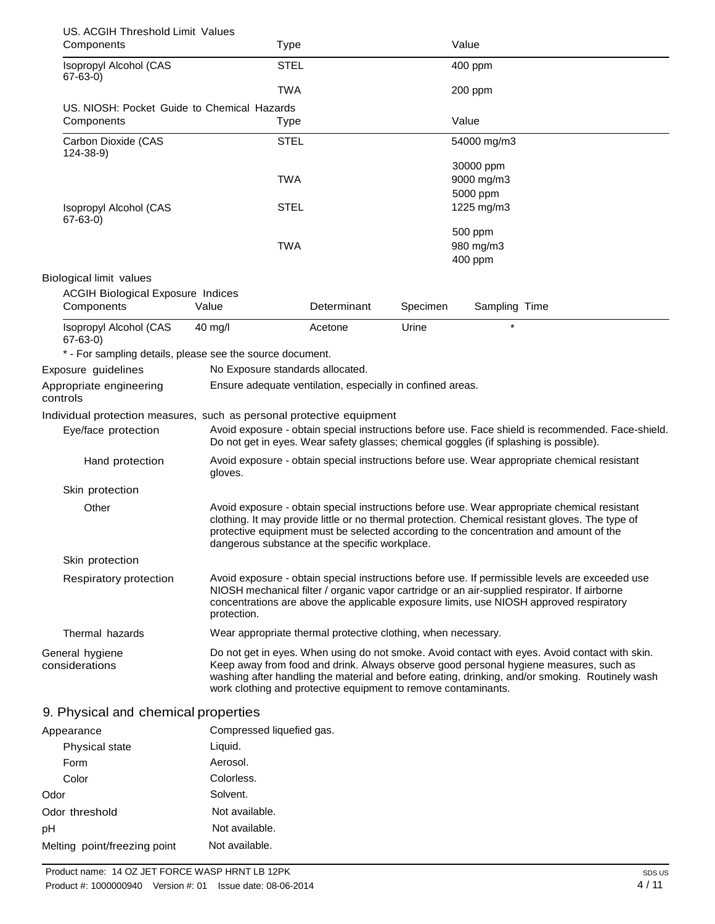| US. ACGIH Threshold Limit Values                                      |                                                                |             |          |                                                                                                                                                                                                                                                                                            |
|-----------------------------------------------------------------------|----------------------------------------------------------------|-------------|----------|--------------------------------------------------------------------------------------------------------------------------------------------------------------------------------------------------------------------------------------------------------------------------------------------|
| Components                                                            | <b>Type</b>                                                    |             |          | Value                                                                                                                                                                                                                                                                                      |
| Isopropyl Alcohol (CAS<br>$67 - 63 - 0$                               | <b>STEL</b>                                                    |             |          | 400 ppm                                                                                                                                                                                                                                                                                    |
|                                                                       | <b>TWA</b>                                                     |             |          | 200 ppm                                                                                                                                                                                                                                                                                    |
| US. NIOSH: Pocket Guide to Chemical Hazards                           |                                                                |             |          |                                                                                                                                                                                                                                                                                            |
| Components                                                            | Type                                                           |             |          | Value                                                                                                                                                                                                                                                                                      |
| Carbon Dioxide (CAS<br>124-38-9)                                      | <b>STEL</b>                                                    |             |          | 54000 mg/m3                                                                                                                                                                                                                                                                                |
|                                                                       |                                                                |             |          | 30000 ppm                                                                                                                                                                                                                                                                                  |
|                                                                       | <b>TWA</b>                                                     |             |          | 9000 mg/m3                                                                                                                                                                                                                                                                                 |
|                                                                       |                                                                |             |          | 5000 ppm                                                                                                                                                                                                                                                                                   |
| Isopropyl Alcohol (CAS<br>$67 - 63 - 0$                               | <b>STEL</b>                                                    |             |          | 1225 mg/m3                                                                                                                                                                                                                                                                                 |
|                                                                       | <b>TWA</b>                                                     |             |          | 500 ppm                                                                                                                                                                                                                                                                                    |
|                                                                       |                                                                |             |          | 980 mg/m3<br>400 ppm                                                                                                                                                                                                                                                                       |
|                                                                       |                                                                |             |          |                                                                                                                                                                                                                                                                                            |
| Biological limit values                                               |                                                                |             |          |                                                                                                                                                                                                                                                                                            |
| <b>ACGIH Biological Exposure Indices</b><br>Components                | Value                                                          | Determinant | Specimen | Sampling Time                                                                                                                                                                                                                                                                              |
| Isopropyl Alcohol (CAS<br>$67 - 63 - 0$                               | $40$ mg/l                                                      | Acetone     | Urine    | $\star$                                                                                                                                                                                                                                                                                    |
| * - For sampling details, please see the source document.             |                                                                |             |          |                                                                                                                                                                                                                                                                                            |
| Exposure guidelines                                                   | No Exposure standards allocated.                               |             |          |                                                                                                                                                                                                                                                                                            |
| Appropriate engineering<br>controls                                   | Ensure adequate ventilation, especially in confined areas.     |             |          |                                                                                                                                                                                                                                                                                            |
| Individual protection measures, such as personal protective equipment |                                                                |             |          |                                                                                                                                                                                                                                                                                            |
| Eye/face protection                                                   |                                                                |             |          | Avoid exposure - obtain special instructions before use. Face shield is recommended. Face-shield.<br>Do not get in eyes. Wear safety glasses; chemical goggles (if splashing is possible).                                                                                                 |
| Hand protection                                                       | gloves.                                                        |             |          | Avoid exposure - obtain special instructions before use. Wear appropriate chemical resistant                                                                                                                                                                                               |
| Skin protection                                                       |                                                                |             |          |                                                                                                                                                                                                                                                                                            |
| Other                                                                 | dangerous substance at the specific workplace.                 |             |          | Avoid exposure - obtain special instructions before use. Wear appropriate chemical resistant<br>clothing. It may provide little or no thermal protection. Chemical resistant gloves. The type of<br>protective equipment must be selected according to the concentration and amount of the |
| Skin protection                                                       |                                                                |             |          |                                                                                                                                                                                                                                                                                            |
| Respiratory protection                                                | protection.                                                    |             |          | Avoid exposure - obtain special instructions before use. If permissible levels are exceeded use<br>NIOSH mechanical filter / organic vapor cartridge or an air-supplied respirator. If airborne<br>concentrations are above the applicable exposure limits, use NIOSH approved respiratory |
| Thermal hazards                                                       | Wear appropriate thermal protective clothing, when necessary.  |             |          |                                                                                                                                                                                                                                                                                            |
| General hygiene<br>considerations                                     | work clothing and protective equipment to remove contaminants. |             |          | Do not get in eyes. When using do not smoke. Avoid contact with eyes. Avoid contact with skin.<br>Keep away from food and drink. Always observe good personal hygiene measures, such as<br>washing after handling the material and before eating, drinking, and/or smoking. Routinely wash |
| 9. Physical and chemical properties                                   |                                                                |             |          |                                                                                                                                                                                                                                                                                            |

| Appearance                   | Compressed liquefied gas. |
|------------------------------|---------------------------|
| Physical state               | Liquid.                   |
| Form                         | Aerosol.                  |
| Color                        | Colorless.                |
| Odor                         | Solvent.                  |
| Odor threshold               | Not available.            |
| рH                           | Not available.            |
| Melting point/freezing point | Not available.            |
|                              |                           |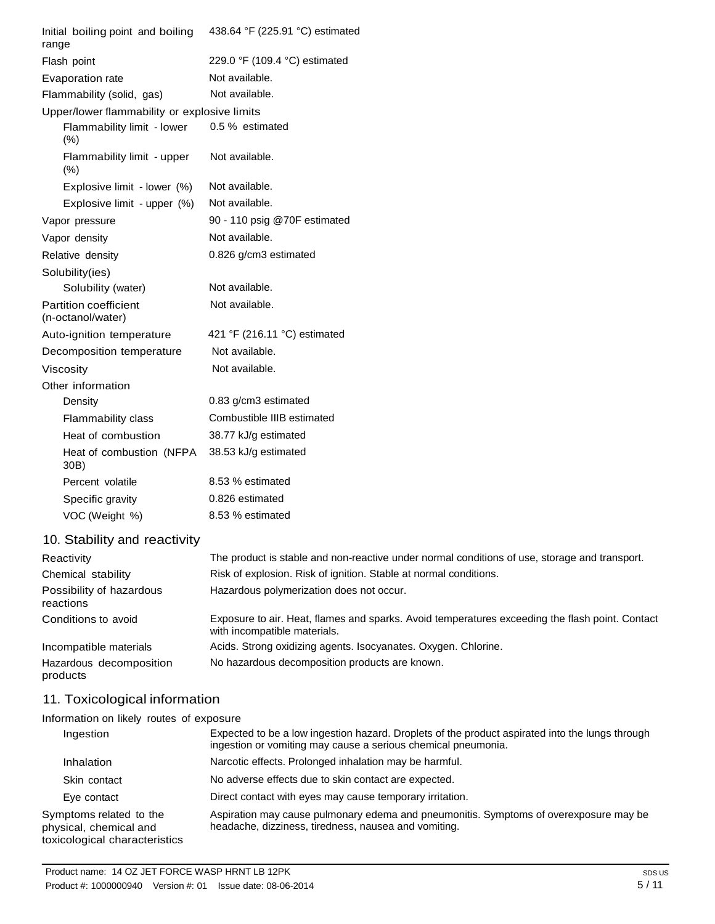| Initial boiling point and boiling<br>range   | 438.64 °F (225.91 °C) estimated |
|----------------------------------------------|---------------------------------|
| Flash point                                  | 229.0 °F (109.4 °C) estimated   |
| Evaporation rate                             | Not available.                  |
| Flammability (solid, gas)                    | Not available.                  |
| Upper/lower flammability or explosive limits |                                 |
| Flammability limit - lower<br>(% )           | 0.5 % estimated                 |
| Flammability limit - upper<br>(% )           | Not available.                  |
| Explosive limit - lower (%)                  | Not available.                  |
| Explosive limit - upper (%)                  | Not available.                  |
| Vapor pressure                               | 90 - 110 psig @70F estimated    |
| Vapor density                                | Not available.                  |
| Relative density                             | 0.826 g/cm3 estimated           |
| Solubility(ies)                              |                                 |
| Solubility (water)                           | Not available.                  |
| Partition coefficient<br>(n-octanol/water)   | Not available.                  |
| Auto-ignition temperature                    | 421 °F (216.11 °C) estimated    |
| Decomposition temperature                    | Not available.                  |
| Viscosity                                    | Not available.                  |
| Other information                            |                                 |
| Density                                      | 0.83 g/cm3 estimated            |
| Flammability class                           | Combustible IIIB estimated      |
| Heat of combustion                           | 38.77 kJ/g estimated            |
| Heat of combustion (NFPA<br>30B)             | 38.53 kJ/g estimated            |
| Percent volatile                             | 8.53 % estimated                |
| Specific gravity                             | 0.826 estimated                 |
| VOC (Weight %)                               | 8.53 % estimated                |
|                                              |                                 |

## 10. Stability and reactivity

| Reactivity                            | The product is stable and non-reactive under normal conditions of use, storage and transport.                                   |
|---------------------------------------|---------------------------------------------------------------------------------------------------------------------------------|
| Chemical stability                    | Risk of explosion. Risk of ignition. Stable at normal conditions.                                                               |
| Possibility of hazardous<br>reactions | Hazardous polymerization does not occur.                                                                                        |
| Conditions to avoid                   | Exposure to air. Heat, flames and sparks. Avoid temperatures exceeding the flash point. Contact<br>with incompatible materials. |
| Incompatible materials                | Acids. Strong oxidizing agents. Isocyanates. Oxygen. Chlorine.                                                                  |
| Hazardous decomposition<br>products   | No hazardous decomposition products are known.                                                                                  |

## 11. Toxicological information

Information on likely routes of exposure

| Ingestion                                                                          | Expected to be a low ingestion hazard. Droplets of the product aspirated into the lungs through<br>ingestion or vomiting may cause a serious chemical pneumonia. |
|------------------------------------------------------------------------------------|------------------------------------------------------------------------------------------------------------------------------------------------------------------|
| Inhalation                                                                         | Narcotic effects. Prolonged inhalation may be harmful.                                                                                                           |
| Skin contact                                                                       | No adverse effects due to skin contact are expected.                                                                                                             |
| Eye contact                                                                        | Direct contact with eyes may cause temporary irritation.                                                                                                         |
| Symptoms related to the<br>physical, chemical and<br>toxicological characteristics | Aspiration may cause pulmonary edema and pneumonitis. Symptoms of overexposure may be<br>headache, dizziness, tiredness, nausea and vomiting.                    |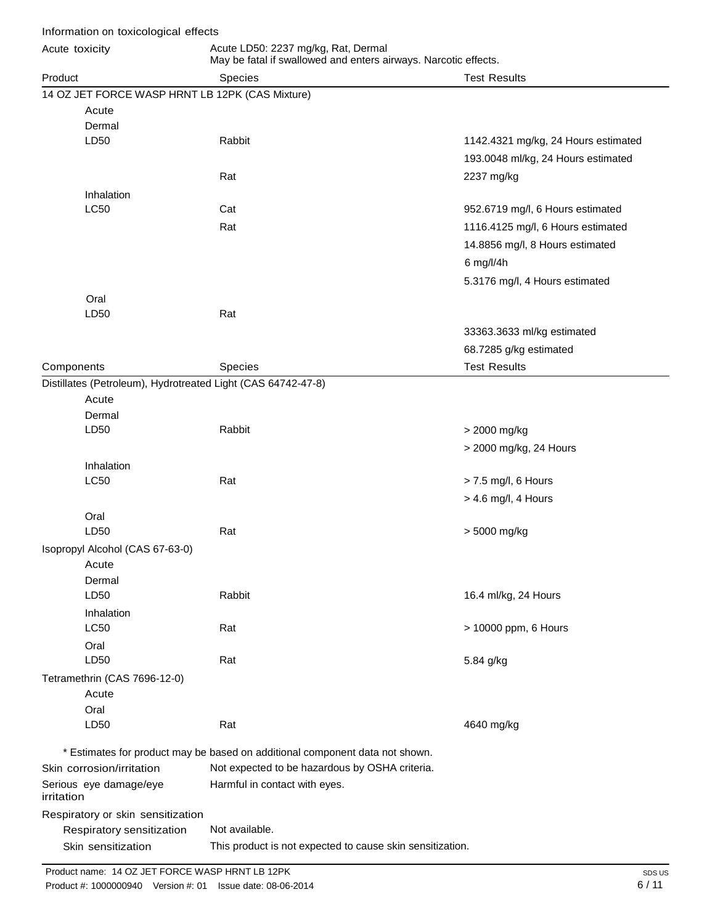| Information on toxicological effects                         |                                                                                                        |                                     |
|--------------------------------------------------------------|--------------------------------------------------------------------------------------------------------|-------------------------------------|
| Acute toxicity                                               | Acute LD50: 2237 mg/kg, Rat, Dermal<br>May be fatal if swallowed and enters airways. Narcotic effects. |                                     |
| Product                                                      | <b>Species</b>                                                                                         | <b>Test Results</b>                 |
| 14 OZ JET FORCE WASP HRNT LB 12PK (CAS Mixture)              |                                                                                                        |                                     |
| Acute                                                        |                                                                                                        |                                     |
| Dermal                                                       |                                                                                                        |                                     |
| LD50                                                         | Rabbit                                                                                                 | 1142.4321 mg/kg, 24 Hours estimated |
|                                                              |                                                                                                        | 193.0048 ml/kg, 24 Hours estimated  |
|                                                              | Rat                                                                                                    | 2237 mg/kg                          |
| Inhalation                                                   |                                                                                                        |                                     |
| LC50                                                         | Cat                                                                                                    | 952.6719 mg/l, 6 Hours estimated    |
|                                                              | Rat                                                                                                    | 1116.4125 mg/l, 6 Hours estimated   |
|                                                              |                                                                                                        | 14.8856 mg/l, 8 Hours estimated     |
|                                                              |                                                                                                        | 6 mg/l/4h                           |
|                                                              |                                                                                                        | 5.3176 mg/l, 4 Hours estimated      |
| Oral                                                         |                                                                                                        |                                     |
| LD50                                                         | Rat                                                                                                    |                                     |
|                                                              |                                                                                                        | 33363.3633 ml/kg estimated          |
|                                                              |                                                                                                        | 68.7285 g/kg estimated              |
| Components                                                   | Species                                                                                                | <b>Test Results</b>                 |
| Distillates (Petroleum), Hydrotreated Light (CAS 64742-47-8) |                                                                                                        |                                     |
| Acute                                                        |                                                                                                        |                                     |
| Dermal                                                       |                                                                                                        |                                     |
| LD50                                                         | Rabbit                                                                                                 | > 2000 mg/kg                        |
|                                                              |                                                                                                        | > 2000 mg/kg, 24 Hours              |
| Inhalation                                                   |                                                                                                        |                                     |
| LC50                                                         | Rat                                                                                                    | > 7.5 mg/l, 6 Hours                 |
|                                                              |                                                                                                        | > 4.6 mg/l, 4 Hours                 |
| Oral                                                         |                                                                                                        |                                     |
| LD50                                                         | Rat                                                                                                    | > 5000 mg/kg                        |
| Isopropyl Alcohol (CAS 67-63-0)                              |                                                                                                        |                                     |
| Acute                                                        |                                                                                                        |                                     |
| Dermal                                                       |                                                                                                        |                                     |
| LD50                                                         | Rabbit                                                                                                 | 16.4 ml/kg, 24 Hours                |
| Inhalation                                                   |                                                                                                        |                                     |
| LC50                                                         | Rat                                                                                                    | > 10000 ppm, 6 Hours                |
| Oral                                                         |                                                                                                        |                                     |
| LD50                                                         | Rat                                                                                                    | 5.84 g/kg                           |
| Tetramethrin (CAS 7696-12-0)                                 |                                                                                                        |                                     |
| Acute                                                        |                                                                                                        |                                     |
| Oral                                                         |                                                                                                        |                                     |
| LD50                                                         | Rat                                                                                                    | 4640 mg/kg                          |
|                                                              |                                                                                                        |                                     |
|                                                              | * Estimates for product may be based on additional component data not shown.                           |                                     |
| Skin corrosion/irritation                                    | Not expected to be hazardous by OSHA criteria.                                                         |                                     |
| Serious eye damage/eye<br>irritation                         | Harmful in contact with eyes.                                                                          |                                     |
| Respiratory or skin sensitization                            |                                                                                                        |                                     |
| Respiratory sensitization                                    | Not available.                                                                                         |                                     |
| Skin sensitization                                           | This product is not expected to cause skin sensitization.                                              |                                     |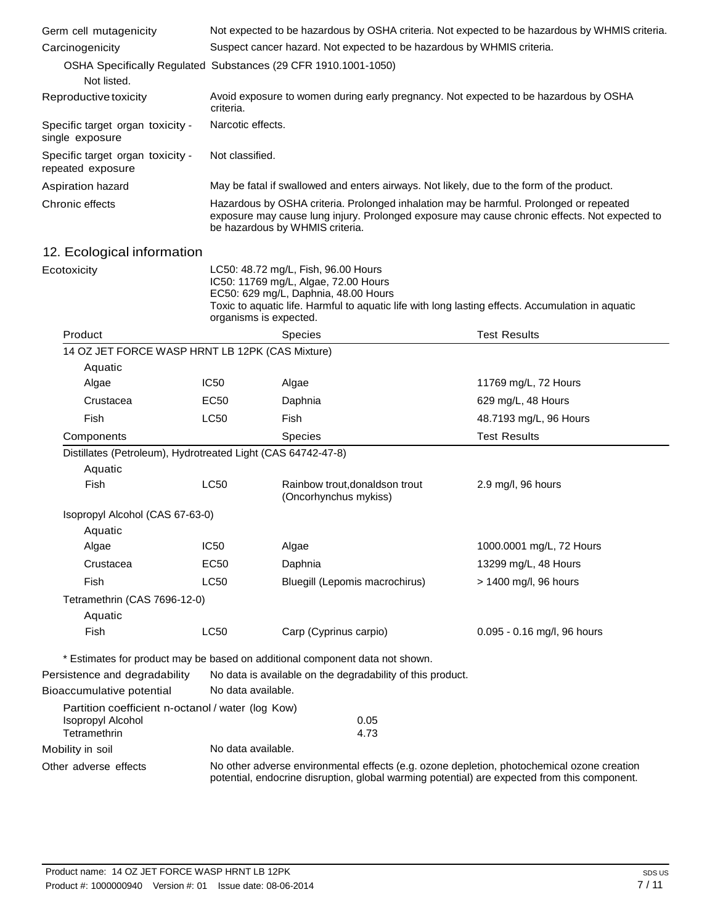| Germ cell mutagenicity                                                 | Not expected to be hazardous by OSHA criteria. Not expected to be hazardous by WHMIS criteria.                                                                                                                             |                                                                                                                                                                                                                          |                             |
|------------------------------------------------------------------------|----------------------------------------------------------------------------------------------------------------------------------------------------------------------------------------------------------------------------|--------------------------------------------------------------------------------------------------------------------------------------------------------------------------------------------------------------------------|-----------------------------|
| Carcinogenicity                                                        | Suspect cancer hazard. Not expected to be hazardous by WHMIS criteria.                                                                                                                                                     |                                                                                                                                                                                                                          |                             |
|                                                                        | OSHA Specifically Regulated Substances (29 CFR 1910.1001-1050)                                                                                                                                                             |                                                                                                                                                                                                                          |                             |
| Not listed.                                                            |                                                                                                                                                                                                                            |                                                                                                                                                                                                                          |                             |
| Reproductive toxicity                                                  | Avoid exposure to women during early pregnancy. Not expected to be hazardous by OSHA<br>criteria.                                                                                                                          |                                                                                                                                                                                                                          |                             |
| Specific target organ toxicity -<br>single exposure                    | Narcotic effects.                                                                                                                                                                                                          |                                                                                                                                                                                                                          |                             |
| Specific target organ toxicity -<br>repeated exposure                  | Not classified.                                                                                                                                                                                                            |                                                                                                                                                                                                                          |                             |
| Aspiration hazard                                                      | May be fatal if swallowed and enters airways. Not likely, due to the form of the product.                                                                                                                                  |                                                                                                                                                                                                                          |                             |
| Chronic effects                                                        | Hazardous by OSHA criteria. Prolonged inhalation may be harmful. Prolonged or repeated<br>exposure may cause lung injury. Prolonged exposure may cause chronic effects. Not expected to<br>be hazardous by WHMIS criteria. |                                                                                                                                                                                                                          |                             |
| 12. Ecological information                                             |                                                                                                                                                                                                                            |                                                                                                                                                                                                                          |                             |
| Ecotoxicity                                                            | organisms is expected.                                                                                                                                                                                                     | LC50: 48.72 mg/L, Fish, 96.00 Hours<br>IC50: 11769 mg/L, Algae, 72.00 Hours<br>EC50: 629 mg/L, Daphnia, 48.00 Hours<br>Toxic to aquatic life. Harmful to aquatic life with long lasting effects. Accumulation in aquatic |                             |
| Product                                                                |                                                                                                                                                                                                                            | <b>Species</b>                                                                                                                                                                                                           | <b>Test Results</b>         |
| 14 OZ JET FORCE WASP HRNT LB 12PK (CAS Mixture)                        |                                                                                                                                                                                                                            |                                                                                                                                                                                                                          |                             |
| Aquatic                                                                |                                                                                                                                                                                                                            |                                                                                                                                                                                                                          |                             |
| Algae                                                                  | <b>IC50</b>                                                                                                                                                                                                                | Algae                                                                                                                                                                                                                    | 11769 mg/L, 72 Hours        |
| Crustacea                                                              | <b>EC50</b>                                                                                                                                                                                                                | Daphnia                                                                                                                                                                                                                  | 629 mg/L, 48 Hours          |
| Fish                                                                   | LC50                                                                                                                                                                                                                       | Fish                                                                                                                                                                                                                     | 48.7193 mg/L, 96 Hours      |
| Components                                                             |                                                                                                                                                                                                                            | Species                                                                                                                                                                                                                  | <b>Test Results</b>         |
| Distillates (Petroleum), Hydrotreated Light (CAS 64742-47-8)           |                                                                                                                                                                                                                            |                                                                                                                                                                                                                          |                             |
| Aquatic                                                                |                                                                                                                                                                                                                            |                                                                                                                                                                                                                          |                             |
| <b>Fish</b>                                                            | <b>LC50</b>                                                                                                                                                                                                                | Rainbow trout, donaldson trout<br>(Oncorhynchus mykiss)                                                                                                                                                                  | 2.9 mg/l, 96 hours          |
| Isopropyl Alcohol (CAS 67-63-0)                                        |                                                                                                                                                                                                                            |                                                                                                                                                                                                                          |                             |
| Aquatic                                                                |                                                                                                                                                                                                                            |                                                                                                                                                                                                                          |                             |
| Algae                                                                  | IC <sub>50</sub>                                                                                                                                                                                                           | Algae                                                                                                                                                                                                                    | 1000.0001 mg/L, 72 Hours    |
| Crustacea                                                              | <b>EC50</b>                                                                                                                                                                                                                | Daphnia                                                                                                                                                                                                                  | 13299 mg/L, 48 Hours        |
| Fish                                                                   | LC50                                                                                                                                                                                                                       | Bluegill (Lepomis macrochirus)                                                                                                                                                                                           | > 1400 mg/l, 96 hours       |
| Tetramethrin (CAS 7696-12-0)                                           |                                                                                                                                                                                                                            |                                                                                                                                                                                                                          |                             |
| Aquatic                                                                |                                                                                                                                                                                                                            |                                                                                                                                                                                                                          |                             |
| <b>Fish</b>                                                            | LC50                                                                                                                                                                                                                       | Carp (Cyprinus carpio)                                                                                                                                                                                                   | 0.095 - 0.16 mg/l, 96 hours |
|                                                                        |                                                                                                                                                                                                                            | * Estimates for product may be based on additional component data not shown.                                                                                                                                             |                             |
| Persistence and degradability                                          |                                                                                                                                                                                                                            | No data is available on the degradability of this product.                                                                                                                                                               |                             |
| Bioaccumulative potential                                              | No data available.                                                                                                                                                                                                         |                                                                                                                                                                                                                          |                             |
| Partition coefficient n-octanol / water (log Kow)<br>Isopropyl Alcohol |                                                                                                                                                                                                                            | 0.05                                                                                                                                                                                                                     |                             |
| Tetramethrin                                                           |                                                                                                                                                                                                                            | 4.73                                                                                                                                                                                                                     |                             |
| Mobility in soil                                                       | No data available.                                                                                                                                                                                                         |                                                                                                                                                                                                                          |                             |
| Other adverse effects                                                  | No other adverse environmental effects (e.g. ozone depletion, photochemical ozone creation<br>potential, endocrine disruption, global warming potential) are expected from this component.                                 |                                                                                                                                                                                                                          |                             |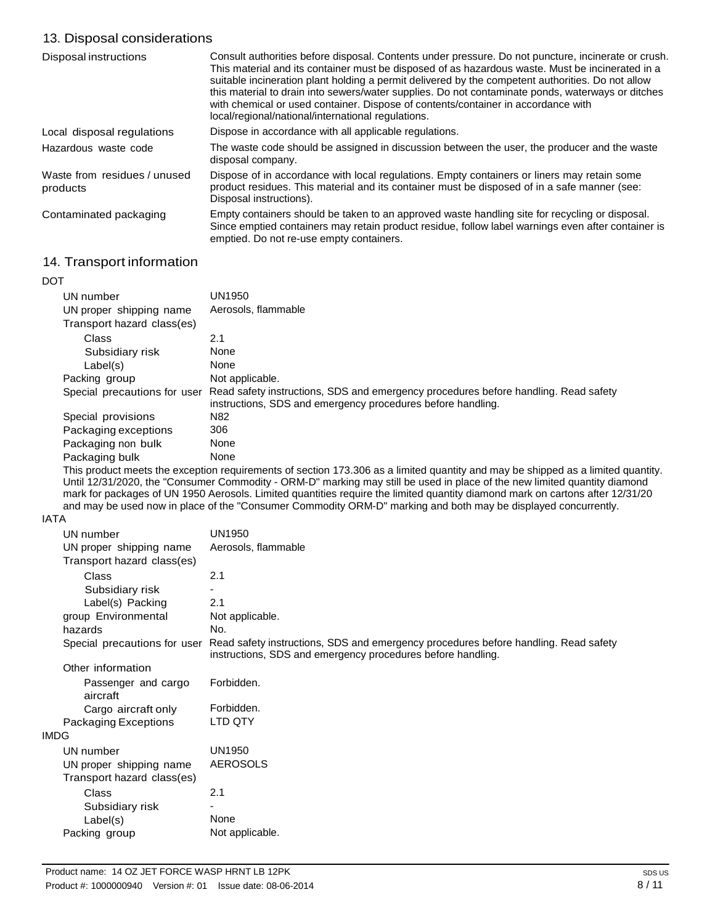## 13. Disposal considerations

| Disposal instructions                    | Consult authorities before disposal. Contents under pressure. Do not puncture, incinerate or crush.<br>This material and its container must be disposed of as hazardous waste. Must be incinerated in a<br>suitable incineration plant holding a permit delivered by the competent authorities. Do not allow<br>this material to drain into sewers/water supplies. Do not contaminate ponds, waterways or ditches<br>with chemical or used container. Dispose of contents/container in accordance with<br>local/regional/national/international regulations. |
|------------------------------------------|--------------------------------------------------------------------------------------------------------------------------------------------------------------------------------------------------------------------------------------------------------------------------------------------------------------------------------------------------------------------------------------------------------------------------------------------------------------------------------------------------------------------------------------------------------------|
| Local disposal regulations               | Dispose in accordance with all applicable regulations.                                                                                                                                                                                                                                                                                                                                                                                                                                                                                                       |
| Hazardous waste code                     | The waste code should be assigned in discussion between the user, the producer and the waste<br>disposal company.                                                                                                                                                                                                                                                                                                                                                                                                                                            |
| Waste from residues / unused<br>products | Dispose of in accordance with local regulations. Empty containers or liners may retain some<br>product residues. This material and its container must be disposed of in a safe manner (see:<br>Disposal instructions).                                                                                                                                                                                                                                                                                                                                       |
| Contaminated packaging                   | Empty containers should be taken to an approved waste handling site for recycling or disposal.<br>Since emptied containers may retain product residue, follow label warnings even after container is<br>emptied. Do not re-use empty containers.                                                                                                                                                                                                                                                                                                             |

## 14. Transport information

| <b>DOT</b> |                              |                                                                                                                                                    |
|------------|------------------------------|----------------------------------------------------------------------------------------------------------------------------------------------------|
|            | UN number                    | UN1950                                                                                                                                             |
|            | UN proper shipping name      | Aerosols, flammable                                                                                                                                |
|            | Transport hazard class(es)   |                                                                                                                                                    |
|            | <b>Class</b>                 | 2.1                                                                                                                                                |
|            | Subsidiary risk              | None                                                                                                                                               |
|            | Label(s)                     | None                                                                                                                                               |
|            | Packing group                | Not applicable.                                                                                                                                    |
|            | Special precautions for user | Read safety instructions, SDS and emergency procedures before handling. Read safety<br>instructions, SDS and emergency procedures before handling. |
|            | Special provisions           | N82                                                                                                                                                |
|            | Packaging exceptions         | 306                                                                                                                                                |
|            | Packaging non bulk           | None                                                                                                                                               |
|            | Packaging bulk               | None                                                                                                                                               |

This product meets the exception requirements of section 173.306 as a limited quantity and may be shipped as a limited quantity. Until 12/31/2020, the "Consumer Commodity - ORM-D" marking may still be used in place of the new limited quantity diamond mark for packages of UN 1950 Aerosols. Limited quantities require the limited quantity diamond mark on cartons after 12/31/20 and may be used now in place of the "Consumer Commodity ORM-D" marking and both may be displayed concurrently.

#### IATA

| UN number                       | <b>UN1950</b>                                                                                                                                      |
|---------------------------------|----------------------------------------------------------------------------------------------------------------------------------------------------|
| UN proper shipping name         | Aerosols, flammable                                                                                                                                |
| Transport hazard class(es)      |                                                                                                                                                    |
| Class                           | 2.1                                                                                                                                                |
| Subsidiary risk                 |                                                                                                                                                    |
| Label(s) Packing                | 2.1                                                                                                                                                |
| group Environmental             | Not applicable.                                                                                                                                    |
| hazards                         | No.                                                                                                                                                |
| Special precautions for user    | Read safety instructions, SDS and emergency procedures before handling. Read safety<br>instructions, SDS and emergency procedures before handling. |
| Other information               |                                                                                                                                                    |
| Passenger and cargo<br>aircraft | Forbidden.                                                                                                                                         |
| Cargo aircraft only             | Forbidden.                                                                                                                                         |
| Packaging Exceptions            | LTD QTY                                                                                                                                            |
| <b>IMDG</b>                     |                                                                                                                                                    |
| UN number                       | <b>UN1950</b>                                                                                                                                      |
| UN proper shipping name         | <b>AEROSOLS</b>                                                                                                                                    |
| Transport hazard class(es)      |                                                                                                                                                    |
| Class                           | 2.1                                                                                                                                                |
| Subsidiary risk                 |                                                                                                                                                    |
| Label(s)                        | None                                                                                                                                               |
| Packing group                   | Not applicable.                                                                                                                                    |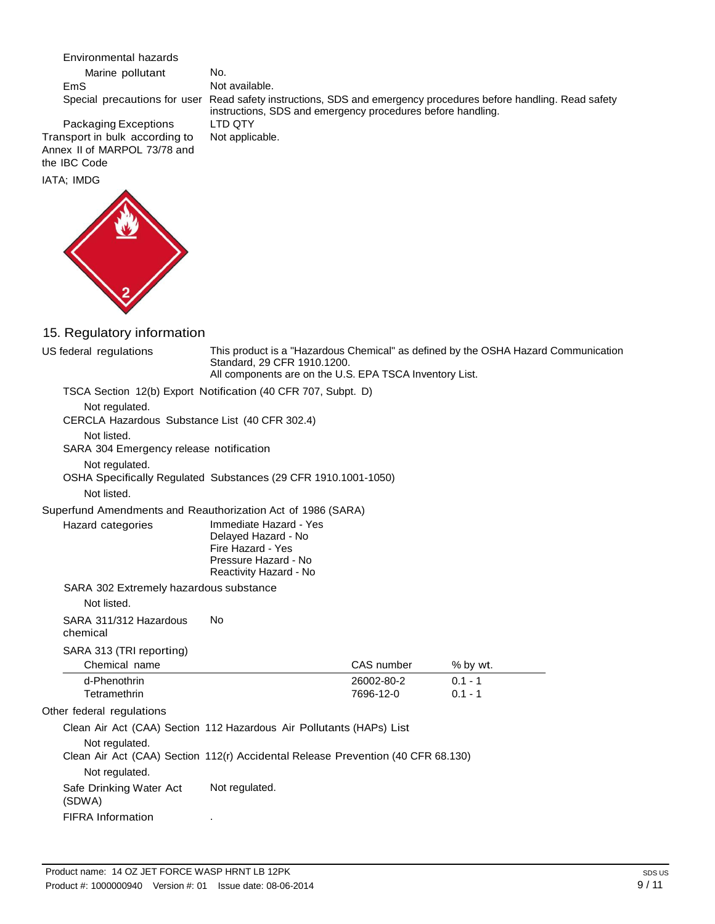Environmental hazards

Marine pollutant EmS

No. Not available. Special precautions for user Read safety instructions, SDS and emergency procedures before handling. Read safety instructions, SDS and emergency procedures before handling. LTD QTY Not applicable.

Packaging Exceptions Transport in bulk according to Annex II of MARPOL 73/78 and the IBC Code

IATA; IMDG



## 15. Regulatory information

| US federal regulations                                                                             | Standard, 29 CFR 1910.1200.<br>All components are on the U.S. EPA TSCA Inventory List.                               |                         | This product is a "Hazardous Chemical" as defined by the OSHA Hazard Communication |  |  |
|----------------------------------------------------------------------------------------------------|----------------------------------------------------------------------------------------------------------------------|-------------------------|------------------------------------------------------------------------------------|--|--|
|                                                                                                    | TSCA Section 12(b) Export Notification (40 CFR 707, Subpt. D)                                                        |                         |                                                                                    |  |  |
| Not regulated.<br>CERCLA Hazardous Substance List (40 CFR 302.4)                                   |                                                                                                                      |                         |                                                                                    |  |  |
| Not listed.<br>SARA 304 Emergency release notification                                             |                                                                                                                      |                         |                                                                                    |  |  |
| Not regulated.<br>OSHA Specifically Regulated Substances (29 CFR 1910.1001-1050)<br>Not listed.    |                                                                                                                      |                         |                                                                                    |  |  |
|                                                                                                    |                                                                                                                      |                         |                                                                                    |  |  |
| Superfund Amendments and Reauthorization Act of 1986 (SARA)<br>Hazard categories                   | Immediate Hazard - Yes<br>Delayed Hazard - No<br>Fire Hazard - Yes<br>Pressure Hazard - No<br>Reactivity Hazard - No |                         |                                                                                    |  |  |
| SARA 302 Extremely hazardous substance                                                             |                                                                                                                      |                         |                                                                                    |  |  |
| Not listed.                                                                                        |                                                                                                                      |                         |                                                                                    |  |  |
| SARA 311/312 Hazardous<br>chemical                                                                 | <b>No</b>                                                                                                            |                         |                                                                                    |  |  |
| SARA 313 (TRI reporting)<br>Chemical name                                                          |                                                                                                                      | CAS number              | % by wt.                                                                           |  |  |
| d-Phenothrin<br>Tetramethrin                                                                       |                                                                                                                      | 26002-80-2<br>7696-12-0 | $0.1 - 1$<br>$0.1 - 1$                                                             |  |  |
| Other federal regulations                                                                          |                                                                                                                      |                         |                                                                                    |  |  |
| Clean Air Act (CAA) Section 112 Hazardous Air Pollutants (HAPs) List                               |                                                                                                                      |                         |                                                                                    |  |  |
| Not regulated.<br>Clean Air Act (CAA) Section 112(r) Accidental Release Prevention (40 CFR 68.130) |                                                                                                                      |                         |                                                                                    |  |  |
| Not regulated.                                                                                     |                                                                                                                      |                         |                                                                                    |  |  |
| Safe Drinking Water Act<br>(SDWA)                                                                  | Not regulated.                                                                                                       |                         |                                                                                    |  |  |
| <b>FIFRA Information</b>                                                                           |                                                                                                                      |                         |                                                                                    |  |  |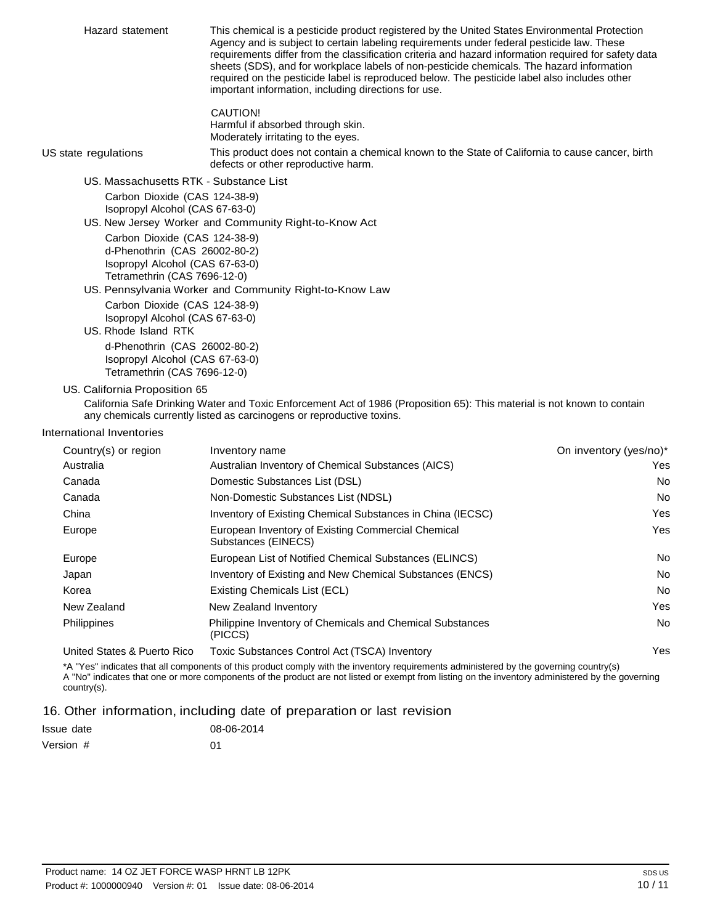Hazard statement This chemical is a pesticide product registered by the United States Environmental Protection Agency and is subject to certain labeling requirements under federal pesticide law. These requirements differ from the classification criteria and hazard information required for safety data sheets (SDS), and for workplace labels of non-pesticide chemicals. The hazard information required on the pesticide label is reproduced below. The pesticide label also includes other important information, including directions for use. CAUTION! Harmful if absorbed through skin. Moderately irritating to the eyes. US state regulations This product does not contain a chemical known to the State of California to cause cancer, birth defects or other reproductive harm. US. Massachusetts RTK - Substance List Carbon Dioxide (CAS 124-38-9) Isopropyl Alcohol (CAS 67-63-0) US. New Jersey Worker and Community Right-to-Know Act Carbon Dioxide (CAS 124-38-9) d-Phenothrin (CAS 26002-80-2) Isopropyl Alcohol (CAS 67-63-0) Tetramethrin (CAS 7696-12-0) US. Pennsylvania Worker and Community Right-to-Know Law Carbon Dioxide (CAS 124-38-9) Isopropyl Alcohol (CAS 67-63-0)

## US. Rhode Island RTK

d-Phenothrin (CAS 26002-80-2) Isopropyl Alcohol (CAS 67-63-0) Tetramethrin (CAS 7696-12-0)

#### US. California Proposition 65

California Safe Drinking Water and Toxic Enforcement Act of 1986 (Proposition 65): This material is not known to contain any chemicals currently listed as carcinogens or reproductive toxins.

#### International Inventories

| Country(s) or region        | Inventory name                                                              | On inventory (yes/no)* |
|-----------------------------|-----------------------------------------------------------------------------|------------------------|
| Australia                   | Australian Inventory of Chemical Substances (AICS)                          | Yes                    |
| Canada                      | Domestic Substances List (DSL)                                              | No                     |
| Canada                      | Non-Domestic Substances List (NDSL)                                         | <b>No</b>              |
| China                       | Inventory of Existing Chemical Substances in China (IECSC)                  | Yes                    |
| Europe                      | European Inventory of Existing Commercial Chemical<br>Substances (EINECS)   | Yes                    |
| Europe                      | European List of Notified Chemical Substances (ELINCS)                      | No                     |
| Japan                       | Inventory of Existing and New Chemical Substances (ENCS)                    | No                     |
| Korea                       | Existing Chemicals List (ECL)                                               | No                     |
| New Zealand                 | New Zealand Inventory                                                       | Yes                    |
| <b>Philippines</b>          | <b>Philippine Inventory of Chemicals and Chemical Substances</b><br>(PICCS) | No                     |
| United States & Puerto Rico | Toxic Substances Control Act (TSCA) Inventory                               | Yes                    |

\*A "Yes" indicates that all components of this product comply with the inventory requirements administered by the governing country(s) A "No" indicates that one or more components of the product are not listed or exempt from listing on the inventory administered by the governing country(s).

#### 16. Other information, including date of preparation or last revision

| Issue date | 08-06-2014 |
|------------|------------|
| Version #  | 01         |